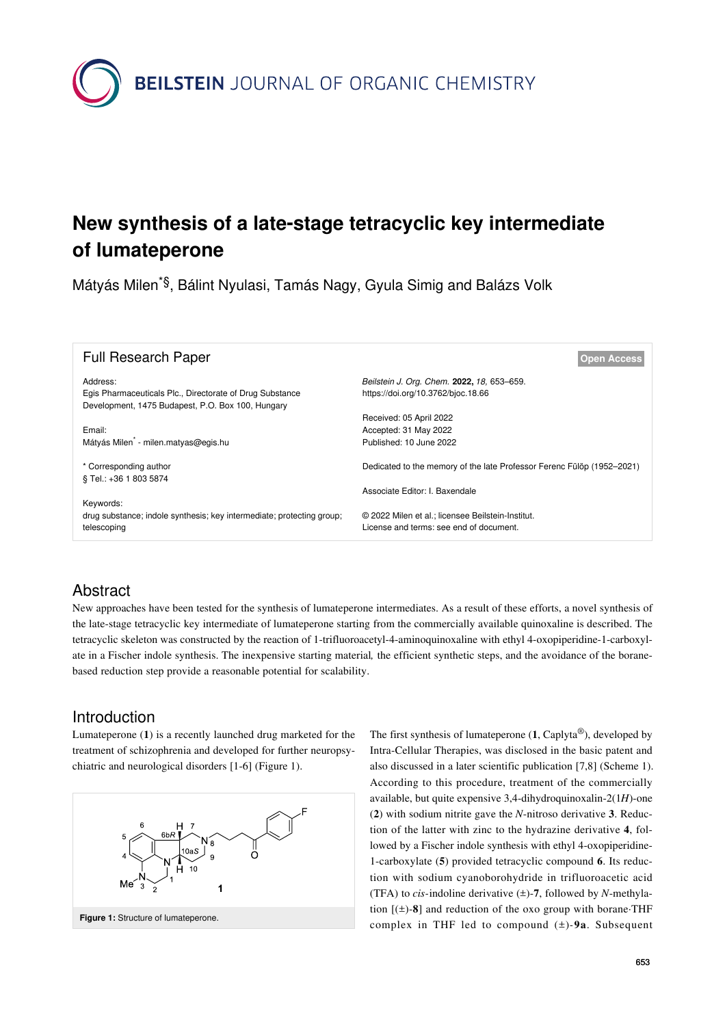

# **New synthesis of a late-stage tetracyclic key intermediate of lumateperone**

Mátyás Milen\*§, Bálint Nyulasi, Tamás Nagy, Gyula Simig and Balázs Volk

| <b>Full Research Paper</b>                                                                                                | <b>Open Access</b>                                                                           |
|---------------------------------------------------------------------------------------------------------------------------|----------------------------------------------------------------------------------------------|
| Address:<br>Egis Pharmaceuticals Plc., Directorate of Drug Substance<br>Development, 1475 Budapest, P.O. Box 100, Hungary | Beilstein J. Org. Chem. 2022, 18, 653-659.<br>https://doi.org/10.3762/bjoc.18.66             |
| Email:<br>Mátyás Milen <sup>*</sup> - milen.matyas@egis.hu                                                                | Received: 05 April 2022<br>Accepted: 31 May 2022<br>Published: 10 June 2022                  |
| * Corresponding author<br>§ Tel.: +36 1 803 5874                                                                          | Dedicated to the memory of the late Professor Ferenc Fülöp (1952–2021)                       |
| Keywords:                                                                                                                 | Associate Editor: I. Baxendale                                                               |
| drug substance; indole synthesis; key intermediate; protecting group;<br>telescoping                                      | © 2022 Milen et al.; licensee Beilstein-Institut.<br>License and terms: see end of document. |

### Abstract

New approaches have been tested for the synthesis of lumateperone intermediates. As a result of these efforts, a novel synthesis of the late-stage tetracyclic key intermediate of lumateperone starting from the commercially available quinoxaline is described. The tetracyclic skeleton was constructed by the reaction of 1-trifluoroacetyl-4-aminoquinoxaline with ethyl 4-oxopiperidine-1-carboxylate in a Fischer indole synthesis. The inexpensive starting material*,* the efficient synthetic steps, and the avoidance of the boranebased reduction step provide a reasonable potential for scalability.

### Introduction

Lumateperone (**1**) is a recently launched drug marketed for the treatment of schizophrenia and developed for further neuropsychiatric and neurological disorders [\[1-6\]](#page-6-0) [\(Figure 1\)](#page-0-0).

<span id="page-0-0"></span>

The first synthesis of lumateperone (**1**, Caplyta®), developed by Intra-Cellular Therapies, was disclosed in the basic patent and also discussed in a later scientific publication [\[7,8\]](#page-6-1) [\(Scheme 1](#page-1-0)). According to this procedure, treatment of the commercially available, but quite expensive 3,4-dihydroquinoxalin-2(1*H*)-one (**2**) with sodium nitrite gave the *N*-nitroso derivative **3**. Reduction of the latter with zinc to the hydrazine derivative **4**, followed by a Fischer indole synthesis with ethyl 4-oxopiperidine-1-carboxylate (**5**) provided tetracyclic compound **6**. Its reduction with sodium cyanoborohydride in trifluoroacetic acid (TFA) to *cis-*indoline derivative (±)-**7**, followed by *N*-methylation  $[(\pm)$ -8] and reduction of the oxo group with borane·THF complex in THF led to compound (±)*-***9a**. Subsequent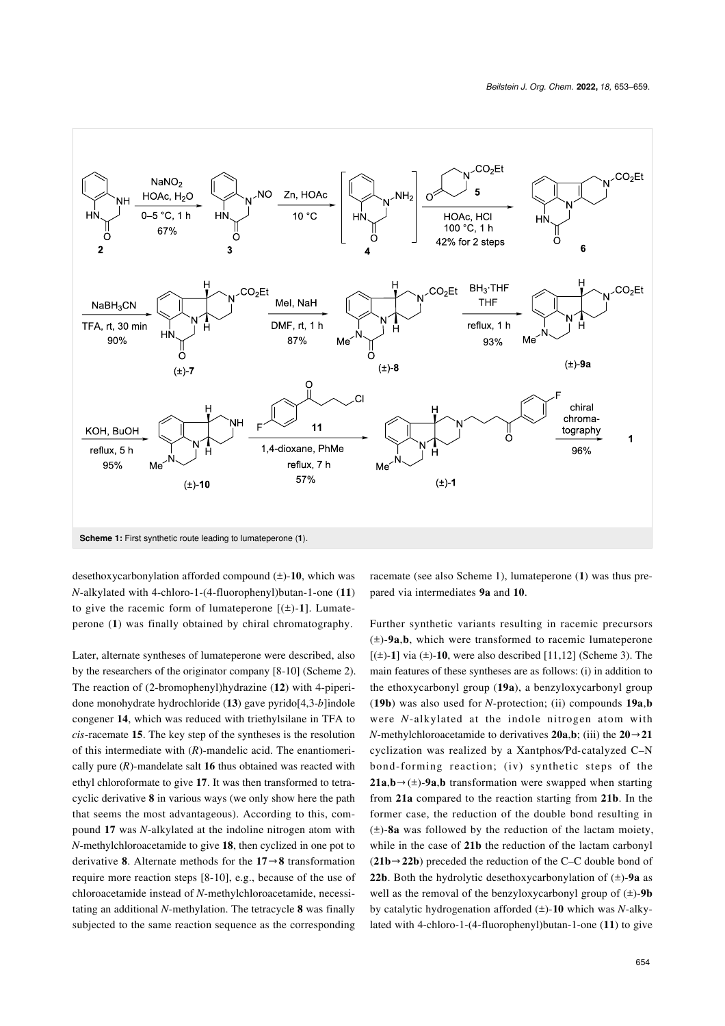<span id="page-1-0"></span>

desethoxycarbonylation afforded compound (±)-**10**, which was *N*-alkylated with 4-chloro-1-(4-fluorophenyl)butan-1-one (**11**) to give the racemic form of lumateperone  $[(\pm)$ -1]. Lumateperone (**1**) was finally obtained by chiral chromatography.

Later, alternate syntheses of lumateperone were described, also by the researchers of the originator company [\[8-10\]](#page-6-2) ([Scheme 2](#page-2-0)). The reaction of (2-bromophenyl)hydrazine (**12**) with 4-piperidone monohydrate hydrochloride (**13**) gave pyrido[4,3-*b*]indole congener **14**, which was reduced with triethylsilane in TFA to *cis*-racemate **15**. The key step of the syntheses is the resolution of this intermediate with (*R*)-mandelic acid. The enantiomerically pure (*R*)-mandelate salt **16** thus obtained was reacted with ethyl chloroformate to give **17**. It was then transformed to tetracyclic derivative **8** in various ways (we only show here the path that seems the most advantageous). According to this, compound **17** was *N*-alkylated at the indoline nitrogen atom with *N*-methylchloroacetamide to give **18**, then cyclized in one pot to derivative **8**. Alternate methods for the **17**→**8** transformation require more reaction steps [\[8-10\]](#page-6-2), e.g., because of the use of chloroacetamide instead of *N*-methylchloroacetamide, necessitating an additional *N*-methylation. The tetracycle **8** was finally subjected to the same reaction sequence as the corresponding

racemate (see also [Scheme 1\)](#page-1-0), lumateperone (**1**) was thus prepared via intermediates **9a** and **10**.

Further synthetic variants resulting in racemic precursors (±)-**9a**,**b**, which were transformed to racemic lumateperone  $[(\pm)$ -1] via  $(\pm)$ -10, were also described [\[11,12\]](#page-6-3) [\(Scheme 3\)](#page-3-0). The main features of these syntheses are as follows: (i) in addition to the ethoxycarbonyl group (**19a**), a benzyloxycarbonyl group (**19b**) was also used for *N*-protection; (ii) compounds **19a**,**b** were *N*-alkylated at the indole nitrogen atom with *N*-methylchloroacetamide to derivatives  $20a,b$ ; (iii) the  $20 \rightarrow 21$ cyclization was realized by a Xantphos*/*Pd*-*catalyzed C–N bond-forming reaction; (iv) synthetic steps of the **21a**,**b***→*(±)-**9a**,**b** transformation were swapped when starting from **21a** compared to the reaction starting from **21b**. In the former case, the reduction of the double bond resulting in (±)-**8a** was followed by the reduction of the lactam moiety, while in the case of **21b** the reduction of the lactam carbonyl (**21b***→***22b**) preceded the reduction of the C–C double bond of **22b**. Both the hydrolytic desethoxycarbonylation of  $(\pm)$ -9a as well as the removal of the benzyloxycarbonyl group of (±)-**9b** by catalytic hydrogenation afforded (±)-**10** which was *N*-alkylated with 4-chloro-1-(4-fluorophenyl)butan-1-one (**11**) to give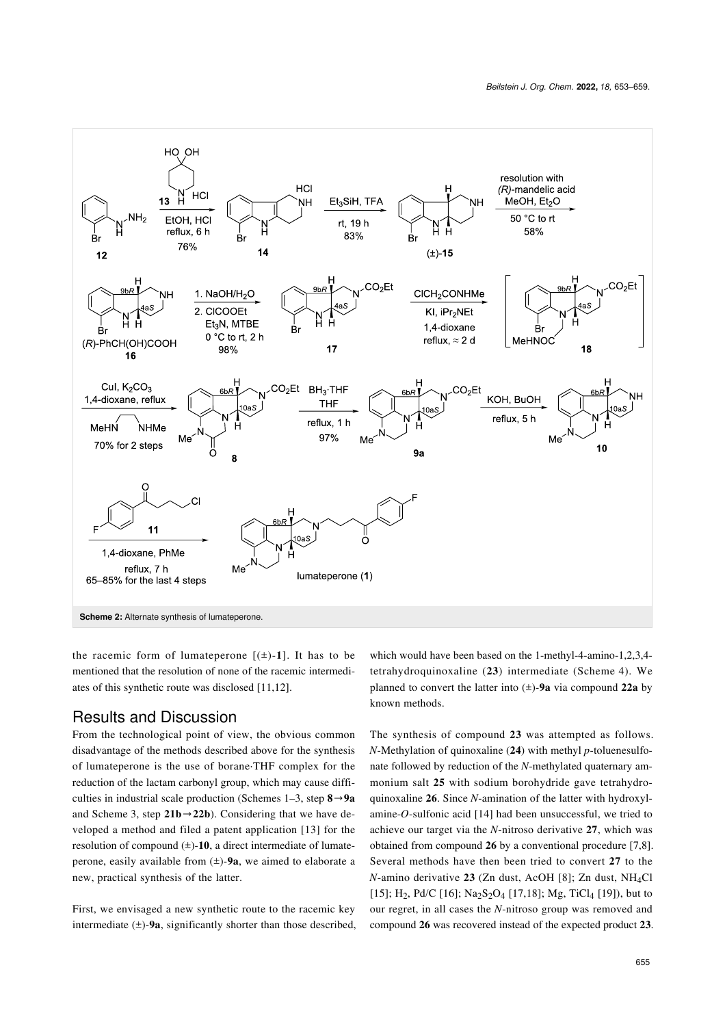<span id="page-2-0"></span>

the racemic form of lumateperone  $[(\pm)$ -1]. It has to be mentioned that the resolution of none of the racemic intermediates of this synthetic route was disclosed [\[11,12\]](#page-6-3).

#### Results and Discussion

From the technological point of view, the obvious common disadvantage of the methods described above for the synthesis of lumateperone is the use of borane·THF complex for the reduction of the lactam carbonyl group, which may cause difficulties in industrial scale production (Schemes 1–3, step **8**→**9a** and [Scheme 3,](#page-3-0) step **21b**→**22b**). Considering that we have developed a method and filed a patent application [\[13\]](#page-6-4) for the resolution of compound (±)-**10**, a direct intermediate of lumateperone, easily available from (±)-**9a**, we aimed to elaborate a new, practical synthesis of the latter.

First, we envisaged a new synthetic route to the racemic key intermediate  $(\pm)$ -9a, significantly shorter than those described, which would have been based on the 1-methyl-4-amino-1,2,3,4 tetrahydroquinoxaline (**23**) intermediate ([Scheme 4](#page-4-0)). We planned to convert the latter into (±)-**9a** via compound **22a** by known methods.

The synthesis of compound **23** was attempted as follows. *N*-Methylation of quinoxaline (**24**) with methyl *p*-toluenesulfonate followed by reduction of the *N*-methylated quaternary ammonium salt **25** with sodium borohydride gave tetrahydroquinoxaline **26**. Since *N*-amination of the latter with hydroxylamine-*O*-sulfonic acid [\[14\]](#page-6-5) had been unsuccessful, we tried to achieve our target via the *N*-nitroso derivative **27**, which was obtained from compound **26** by a conventional procedure [\[7,8\]](#page-6-1). Several methods have then been tried to convert **27** to the *N*-amino derivative **23** (Zn dust, AcOH [\[8\]](#page-6-2); Zn dust, NH4Cl [\[15\]](#page-6-6); H<sub>2</sub>, Pd/C [\[16\];](#page-6-7) Na<sub>2</sub>S<sub>2</sub>O<sub>4</sub> [\[17,18\]](#page-6-8); Mg, TiCl<sub>4</sub> [\[19\]\)](#page-6-9), but to our regret, in all cases the *N*-nitroso group was removed and compound **26** was recovered instead of the expected product **23**.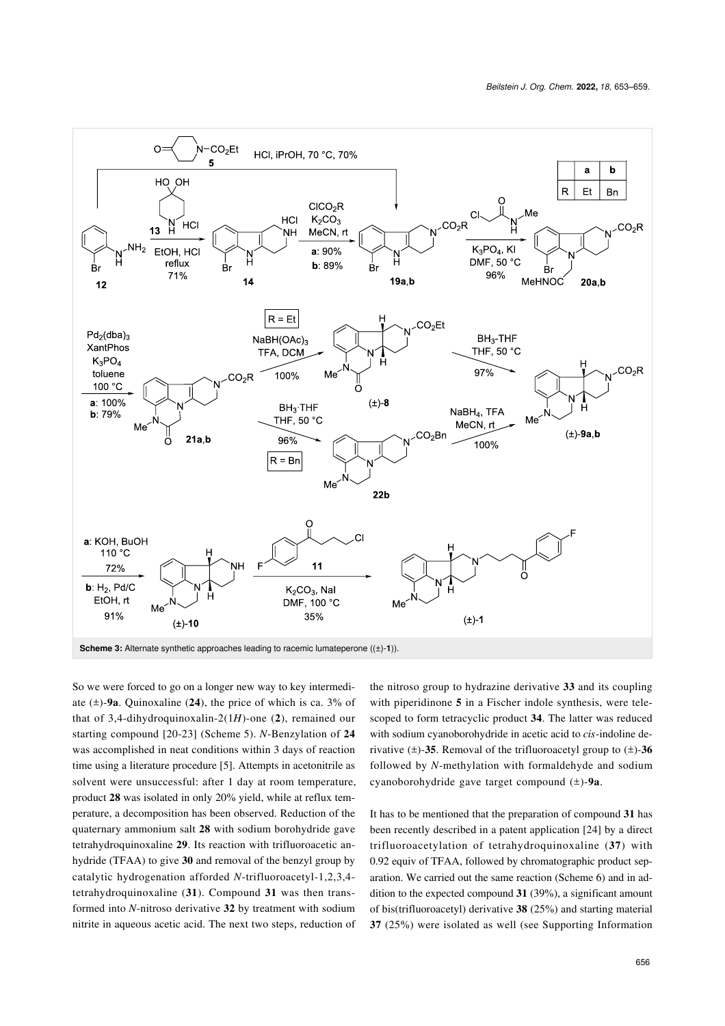<span id="page-3-0"></span>

So we were forced to go on a longer new way to key intermediate (±)-**9a**. Quinoxaline (**24**), the price of which is ca. 3% of that of 3,4-dihydroquinoxalin-2(1*H*)-one (**2**), remained our starting compound [\[20-23\]](#page-6-10) ([Scheme 5\)](#page-4-1). *N*-Benzylation of **24** was accomplished in neat conditions within 3 days of reaction time using a literature procedure [\[5\].](#page-6-11) Attempts in acetonitrile as solvent were unsuccessful: after 1 day at room temperature, product **28** was isolated in only 20% yield, while at reflux temperature, a decomposition has been observed. Reduction of the quaternary ammonium salt **28** with sodium borohydride gave tetrahydroquinoxaline **29**. Its reaction with trifluoroacetic anhydride (TFAA) to give **30** and removal of the benzyl group by catalytic hydrogenation afforded *N*-trifluoroacetyl-1,2,3,4 tetrahydroquinoxaline (**31**). Compound **31** was then transformed into *N*-nitroso derivative **32** by treatment with sodium nitrite in aqueous acetic acid. The next two steps, reduction of the nitroso group to hydrazine derivative **33** and its coupling with piperidinone **5** in a Fischer indole synthesis, were telescoped to form tetracyclic product **34**. The latter was reduced with sodium cyanoborohydride in acetic acid to *cis*-indoline derivative  $(\pm)$ -35. Removal of the trifluoroacetyl group to  $(\pm)$ -36 followed by *N*-methylation with formaldehyde and sodium cyanoborohydride gave target compound (±)-**9a**.

It has to be mentioned that the preparation of compound **31** has been recently described in a patent application [\[24\]](#page-6-12) by a direct trifluoroacetylation of tetrahydroquinoxaline (**37**) with 0.92 equiv of TFAA, followed by chromatographic product separation. We carried out the same reaction [\(Scheme 6\)](#page-5-0) and in addition to the expected compound **31** (39%), a significant amount of bis(trifluoroacetyl) derivative **38** (25%) and starting material **37** (25%) were isolated as well (see [Supporting Information](#page-5-1)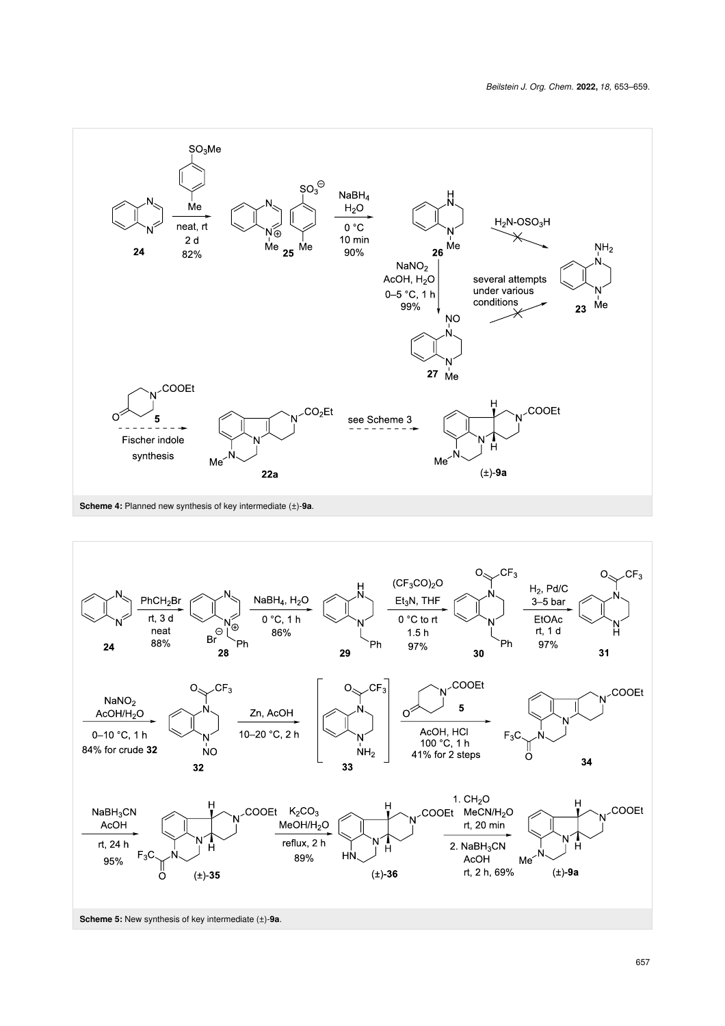<span id="page-4-0"></span>

<span id="page-4-1"></span>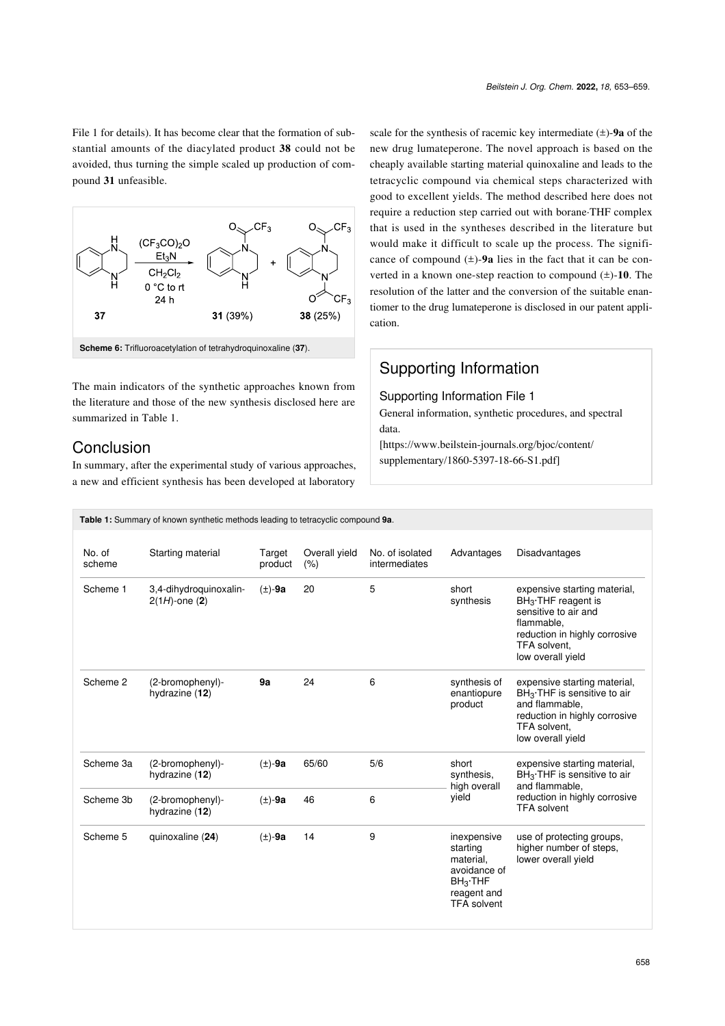[File 1](#page-5-1) for details). It has become clear that the formation of substantial amounts of the diacylated product **38** could not be avoided, thus turning the simple scaled up production of compound **31** unfeasible.

<span id="page-5-0"></span>

The main indicators of the synthetic approaches known from the literature and those of the new synthesis disclosed here are summarized in [Table 1](#page-5-2).

### Conclusion

In summary, after the experimental study of various approaches, a new and efficient synthesis has been developed at laboratory

scale for the synthesis of racemic key intermediate (±)-**9a** of the new drug lumateperone. The novel approach is based on the cheaply available starting material quinoxaline and leads to the tetracyclic compound via chemical steps characterized with good to excellent yields. The method described here does not require a reduction step carried out with borane·THF complex that is used in the syntheses described in the literature but would make it difficult to scale up the process. The significance of compound  $(\pm)$ -9a lies in the fact that it can be converted in a known one-step reaction to compound (±)-**10**. The resolution of the latter and the conversion of the suitable enantiomer to the drug lumateperone is disclosed in our patent application.

## Supporting Information

#### <span id="page-5-1"></span>Supporting Information File 1

General information, synthetic procedures, and spectral data.

[\[https://www.beilstein-journals.org/bjoc/content/](https://www.beilstein-journals.org/bjoc/content/supplementary/1860-5397-18-66-S1.pdf) [supplementary/1860-5397-18-66-S1.pdf\]](https://www.beilstein-journals.org/bjoc/content/supplementary/1860-5397-18-66-S1.pdf)

<span id="page-5-2"></span>

| Table 1: Summary of known synthetic methods leading to tetracyclic compound 9a. |                                            |                   |                       |                                  |                                                                                                        |                                                                                                                                                                    |  |
|---------------------------------------------------------------------------------|--------------------------------------------|-------------------|-----------------------|----------------------------------|--------------------------------------------------------------------------------------------------------|--------------------------------------------------------------------------------------------------------------------------------------------------------------------|--|
| No. of<br>scheme                                                                | Starting material                          | Target<br>product | Overall yield<br>(% ) | No. of isolated<br>intermediates | Advantages                                                                                             | Disadvantages                                                                                                                                                      |  |
| Scheme 1                                                                        | 3,4-dihydroquinoxalin-<br>$2(1H)$ -one (2) | $(\pm)$ -9a       | 20                    | 5                                | short<br>synthesis                                                                                     | expensive starting material,<br>$BH3$ . THF reagent is<br>sensitive to air and<br>flammable,<br>reduction in highly corrosive<br>TFA solvent.<br>low overall yield |  |
| Scheme 2                                                                        | (2-bromophenyl)-<br>hydrazine (12)         | 9a                | 24                    | 6                                | synthesis of<br>enantiopure<br>product                                                                 | expensive starting material,<br>BH <sub>3</sub> ·THF is sensitive to air<br>and flammable.<br>reduction in highly corrosive<br>TFA solvent,<br>low overall yield   |  |
| Scheme 3a                                                                       | (2-bromophenyl)-<br>hydrazine (12)         | $(\pm)$ -9a       | 65/60                 | 5/6                              | short<br>synthesis,<br>high overall<br>vield                                                           | expensive starting material,<br>$BH3$ . THF is sensitive to air<br>and flammable.<br>reduction in highly corrosive<br><b>TFA solvent</b>                           |  |
| Scheme 3b                                                                       | (2-bromophenyl)-<br>hydrazine (12)         | $(\pm)$ -9a       | 46                    | 6                                |                                                                                                        |                                                                                                                                                                    |  |
| Scheme 5                                                                        | quinoxaline (24)                           | $(\pm)$ -9a       | 14                    | 9                                | inexpensive<br>starting<br>material.<br>avoidance of<br>$BH3$ THF<br>reagent and<br><b>TFA</b> solvent | use of protecting groups,<br>higher number of steps,<br>lower overall yield                                                                                        |  |